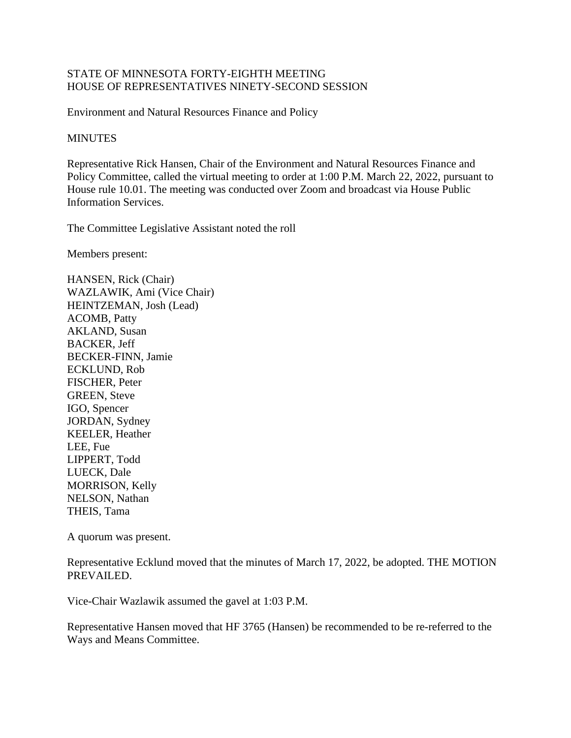## STATE OF MINNESOTA FORTY-EIGHTH MEETING HOUSE OF REPRESENTATIVES NINETY-SECOND SESSION

Environment and Natural Resources Finance and Policy

## **MINUTES**

Representative Rick Hansen, Chair of the Environment and Natural Resources Finance and Policy Committee, called the virtual meeting to order at 1:00 P.M. March 22, 2022, pursuant to House rule 10.01. The meeting was conducted over Zoom and broadcast via House Public Information Services.

The Committee Legislative Assistant noted the roll

Members present:

HANSEN, Rick (Chair) WAZLAWIK, Ami (Vice Chair) HEINTZEMAN, Josh (Lead) ACOMB, Patty AKLAND, Susan BACKER, Jeff BECKER-FINN, Jamie ECKLUND, Rob FISCHER, Peter GREEN, Steve IGO, Spencer JORDAN, Sydney KEELER, Heather LEE, Fue LIPPERT, Todd LUECK, Dale MORRISON, Kelly NELSON, Nathan THEIS, Tama

A quorum was present.

Representative Ecklund moved that the minutes of March 17, 2022, be adopted. THE MOTION PREVAILED.

Vice-Chair Wazlawik assumed the gavel at 1:03 P.M.

Representative Hansen moved that HF 3765 (Hansen) be recommended to be re-referred to the Ways and Means Committee.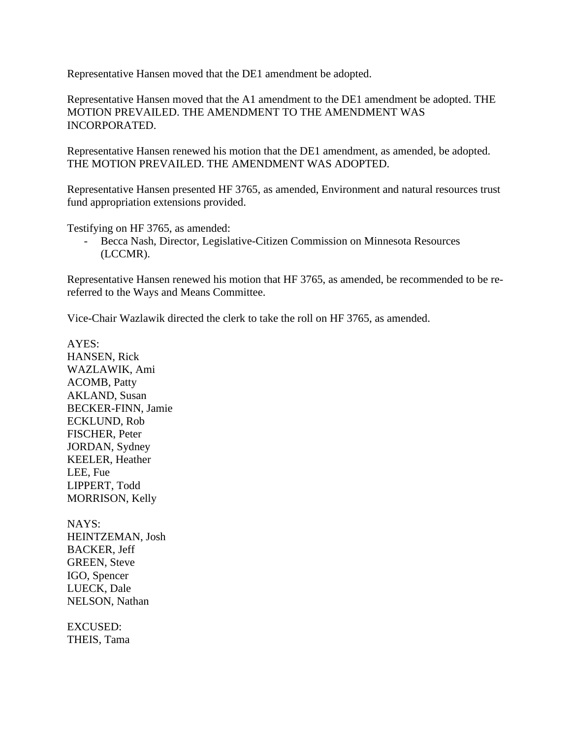Representative Hansen moved that the DE1 amendment be adopted.

Representative Hansen moved that the A1 amendment to the DE1 amendment be adopted. THE MOTION PREVAILED. THE AMENDMENT TO THE AMENDMENT WAS INCORPORATED.

Representative Hansen renewed his motion that the DE1 amendment, as amended, be adopted. THE MOTION PREVAILED. THE AMENDMENT WAS ADOPTED.

Representative Hansen presented HF 3765, as amended, Environment and natural resources trust fund appropriation extensions provided.

Testifying on HF 3765, as amended:

- Becca Nash, Director, Legislative-Citizen Commission on Minnesota Resources (LCCMR).

Representative Hansen renewed his motion that HF 3765, as amended, be recommended to be rereferred to the Ways and Means Committee.

Vice-Chair Wazlawik directed the clerk to take the roll on HF 3765, as amended.

AYES: HANSEN, Rick WAZLAWIK, Ami ACOMB, Patty AKLAND, Susan BECKER-FINN, Jamie ECKLUND, Rob FISCHER, Peter JORDAN, Sydney KEELER, Heather LEE, Fue LIPPERT, Todd MORRISON, Kelly

NAYS: HEINTZEMAN, Josh BACKER, Jeff GREEN, Steve IGO, Spencer LUECK, Dale NELSON, Nathan

EXCUSED: THEIS, Tama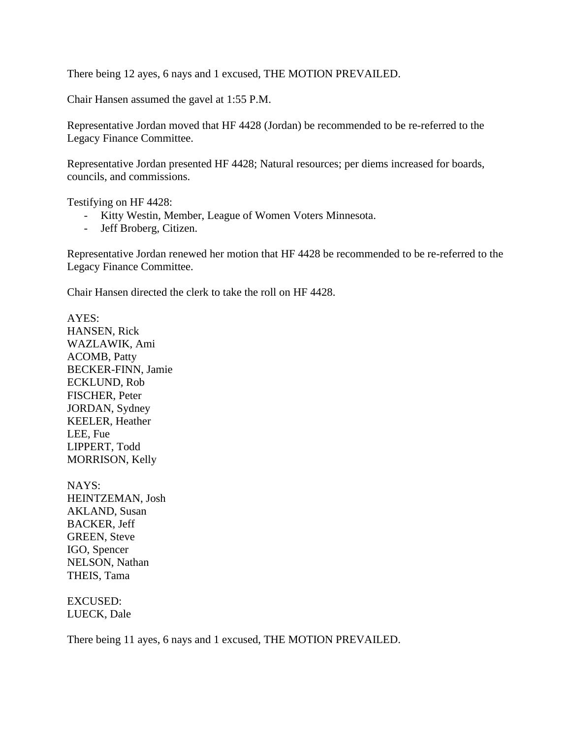There being 12 ayes, 6 nays and 1 excused, THE MOTION PREVAILED.

Chair Hansen assumed the gavel at 1:55 P.M.

Representative Jordan moved that HF 4428 (Jordan) be recommended to be re-referred to the Legacy Finance Committee.

Representative Jordan presented HF 4428; Natural resources; per diems increased for boards, councils, and commissions.

Testifying on HF 4428:

- Kitty Westin, Member, League of Women Voters Minnesota.
- Jeff Broberg, Citizen.

Representative Jordan renewed her motion that HF 4428 be recommended to be re-referred to the Legacy Finance Committee.

Chair Hansen directed the clerk to take the roll on HF 4428.

AYES: HANSEN, Rick WAZLAWIK, Ami ACOMB, Patty BECKER-FINN, Jamie ECKLUND, Rob FISCHER, Peter JORDAN, Sydney KEELER, Heather LEE, Fue LIPPERT, Todd MORRISON, Kelly

NAYS: HEINTZEMAN, Josh AKLAND, Susan BACKER, Jeff GREEN, Steve IGO, Spencer NELSON, Nathan THEIS, Tama

EXCUSED: LUECK, Dale

There being 11 ayes, 6 nays and 1 excused, THE MOTION PREVAILED.